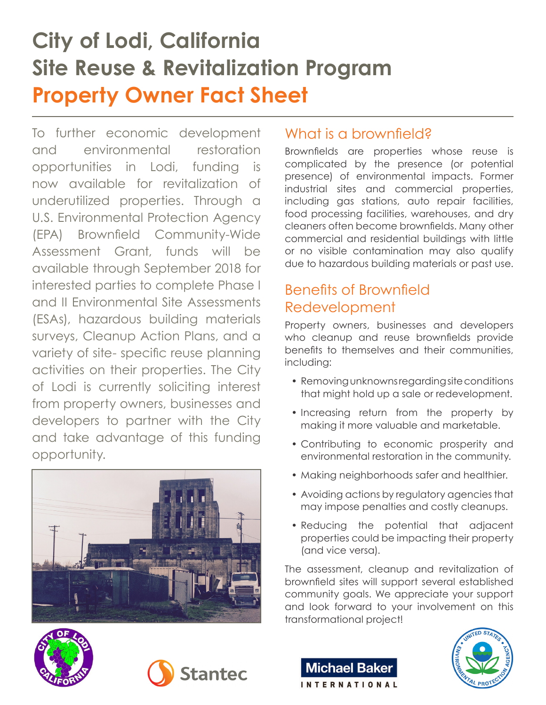# **City of Lodi, California Site Reuse & Revitalization Program Property Owner Fact Sheet**

To further economic development and environmental restoration opportunities in Lodi, funding is now available for revitalization of underutilized properties. Through a U.S. Environmental Protection Agency (EPA) Brownfield Community-Wide Assessment Grant, funds will be available through September 2018 for interested parties to complete Phase I and II Environmental Site Assessments (ESAs), hazardous building materials surveys, Cleanup Action Plans, and a variety of site- specific reuse planning activities on their properties. The City of Lodi is currently soliciting interest from property owners, businesses and developers to partner with the City and take advantage of this funding opportunity.



### What is a brownfield?

Brownfields are properties whose reuse is complicated by the presence (or potential presence) of environmental impacts. Former industrial sites and commercial properties, including gas stations, auto repair facilities, food processing facilities, warehouses, and dry cleaners often become brownfields. Many other commercial and residential buildings with little or no visible contamination may also qualify due to hazardous building materials or past use.

# Benefits of Brownfield Redevelopment

Property owners, businesses and developers who cleanup and reuse brownfields provide benefits to themselves and their communities, including:

- Removing unknowns regarding site conditions that might hold up a sale or redevelopment.
- Increasing return from the property by making it more valuable and marketable.
- Contributing to economic prosperity and environmental restoration in the community.
- Making neighborhoods safer and healthier.
- Avoiding actions by regulatory agencies that may impose penalties and costly cleanups.
- Reducing the potential that adjacent properties could be impacting their property (and vice versa).

The assessment, cleanup and revitalization of brownfield sites will support several established community goals. We appreciate your support and look forward to your involvement on this transformational project!

**Michael Baker** 

**INTERNATIONAL**